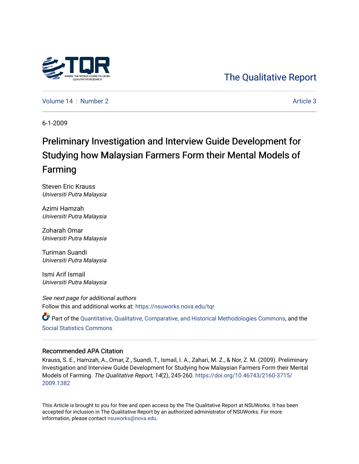

# [The Qualitative Report](https://nsuworks.nova.edu/tqr)

[Volume 14](https://nsuworks.nova.edu/tqr/vol14) | [Number 2](https://nsuworks.nova.edu/tqr/vol14/iss2) Article 3

6-1-2009

# Preliminary Investigation and Interview Guide Development for Studying how Malaysian Farmers Form their Mental Models of Farming

Steven Eric Krauss Universiti Putra Malaysia

Azimi Hamzah Universiti Putra Malaysia

Zoharah Omar Universiti Putra Malaysia

Turiman Suandi Universiti Putra Malaysia

Ismi Arif Ismail Universiti Putra Malaysia

See next page for additional authors Follow this and additional works at: [https://nsuworks.nova.edu/tqr](https://nsuworks.nova.edu/tqr?utm_source=nsuworks.nova.edu%2Ftqr%2Fvol14%2Fiss2%2F3&utm_medium=PDF&utm_campaign=PDFCoverPages) 

Part of the [Quantitative, Qualitative, Comparative, and Historical Methodologies Commons,](http://network.bepress.com/hgg/discipline/423?utm_source=nsuworks.nova.edu%2Ftqr%2Fvol14%2Fiss2%2F3&utm_medium=PDF&utm_campaign=PDFCoverPages) and the [Social Statistics Commons](http://network.bepress.com/hgg/discipline/1275?utm_source=nsuworks.nova.edu%2Ftqr%2Fvol14%2Fiss2%2F3&utm_medium=PDF&utm_campaign=PDFCoverPages) 

#### Recommended APA Citation

Krauss, S. E., Hamzah, A., Omar, Z., Suandi, T., Ismail, I. A., Zahari, M. Z., & Nor, Z. M. (2009). Preliminary Investigation and Interview Guide Development for Studying how Malaysian Farmers Form their Mental Models of Farming. The Qualitative Report, 14(2), 245-260. [https://doi.org/10.46743/2160-3715/](https://doi.org/10.46743/2160-3715/2009.1382) [2009.1382](https://doi.org/10.46743/2160-3715/2009.1382) 

This Article is brought to you for free and open access by the The Qualitative Report at NSUWorks. It has been accepted for inclusion in The Qualitative Report by an authorized administrator of NSUWorks. For more information, please contact [nsuworks@nova.edu.](mailto:nsuworks@nova.edu)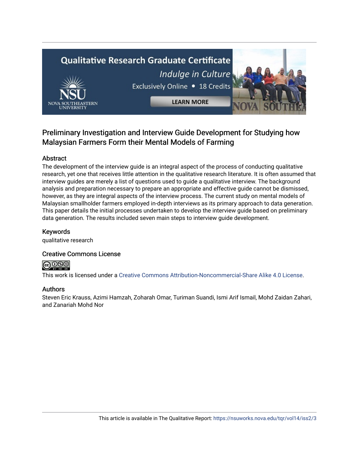# **Qualitative Research Graduate Certificate** Indulge in Culture Exclusively Online . 18 Credits **LEARN MORE**

# Preliminary Investigation and Interview Guide Development for Studying how Malaysian Farmers Form their Mental Models of Farming

## Abstract

The development of the interview guide is an integral aspect of the process of conducting qualitative research, yet one that receives little attention in the qualitative research literature. It is often assumed that interview guides are merely a list of questions used to guide a qualitative interview. The background analysis and preparation necessary to prepare an appropriate and effective guide cannot be dismissed, however, as they are integral aspects of the interview process. The current study on mental models of Malaysian smallholder farmers employed in-depth interviews as its primary approach to data generation. This paper details the initial processes undertaken to develop the interview guide based on preliminary data generation. The results included seven main steps to interview guide development.

## Keywords

qualitative research

## Creative Commons License



This work is licensed under a [Creative Commons Attribution-Noncommercial-Share Alike 4.0 License](https://creativecommons.org/licenses/by-nc-sa/4.0/).

## Authors

Steven Eric Krauss, Azimi Hamzah, Zoharah Omar, Turiman Suandi, Ismi Arif Ismail, Mohd Zaidan Zahari, and Zanariah Mohd Nor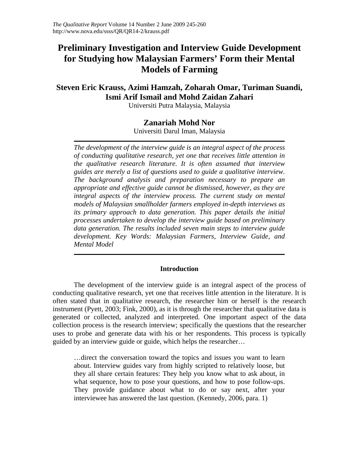# **Preliminary Investigation and Interview Guide Development for Studying how Malaysian Farmers' Form their Mental Models of Farming**

# **Steven Eric Krauss, Azimi Hamzah, Zoharah Omar, Turiman Suandi, Ismi Arif Ismail and Mohd Zaidan Zahari**

Universiti Putra Malaysia, Malaysia

### **Zanariah Mohd Nor**

Universiti Darul Iman, Malaysia

*The development of the interview guide is an integral aspect of the process of conducting qualitative research, yet one that receives little attention in the qualitative research literature. It is often assumed that interview guides are merely a list of questions used to guide a qualitative interview. The background analysis and preparation necessary to prepare an appropriate and effective guide cannot be dismissed, however, as they are integral aspects of the interview process. The current study on mental models of Malaysian smallholder farmers employed in-depth interviews as its primary approach to data generation. This paper details the initial processes undertaken to develop the interview guide based on preliminary data generation. The results included seven main steps to interview guide development. Key Words: Malaysian Farmers, Interview Guide, and Mental Model* 

#### **Introduction**

The development of the interview guide is an integral aspect of the process of conducting qualitative research, yet one that receives little attention in the literature. It is often stated that in qualitative research, the researcher him or herself is the research instrument (Pyett, 2003; Fink, 2000), as it is through the researcher that qualitative data is generated or collected, analyzed and interpreted. One important aspect of the data collection process is the research interview; specifically the questions that the researcher uses to probe and generate data with his or her respondents. This process is typically guided by an interview guide or guide, which helps the researcher…

…direct the conversation toward the topics and issues you want to learn about. Interview guides vary from highly scripted to relatively loose, but they all share certain features: They help you know what to ask about, in what sequence, how to pose your questions, and how to pose follow-ups. They provide guidance about what to do or say next, after your interviewee has answered the last question. (Kennedy, 2006, para. 1)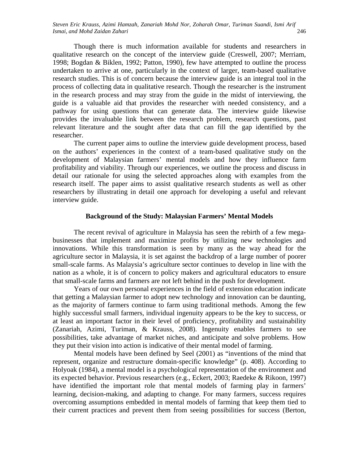Though there is much information available for students and researchers in qualitative research on the concept of the interview guide (Creswell, 2007; Merriam, 1998; Bogdan & Biklen, 1992; Patton, 1990), few have attempted to outline the process undertaken to arrive at one, particularly in the context of larger, team-based qualitative research studies. This is of concern because the interview guide is an integral tool in the process of collecting data in qualitative research. Though the researcher is the instrument in the research process and may stray from the guide in the midst of interviewing, the guide is a valuable aid that provides the researcher with needed consistency, and a pathway for using questions that can generate data. The interview guide likewise provides the invaluable link between the research problem, research questions, past relevant literature and the sought after data that can fill the gap identified by the researcher.

The current paper aims to outline the interview guide development process, based on the authors' experiences in the context of a team-based qualitative study on the development of Malaysian farmers' mental models and how they influence farm profitability and viability. Through our experiences, we outline the process and discuss in detail our rationale for using the selected approaches along with examples from the research itself. The paper aims to assist qualitative research students as well as other researchers by illustrating in detail one approach for developing a useful and relevant interview guide.

#### **Background of the Study: Malaysian Farmers' Mental Models**

The recent revival of agriculture in Malaysia has seen the rebirth of a few megabusinesses that implement and maximize profits by utilizing new technologies and innovations. While this transformation is seen by many as the way ahead for the agriculture sector in Malaysia, it is set against the backdrop of a large number of poorer small-scale farms. As Malaysia's agriculture sector continues to develop in line with the nation as a whole, it is of concern to policy makers and agricultural educators to ensure that small-scale farms and farmers are not left behind in the push for development.

Years of our own personal experiences in the field of extension education indicate that getting a Malaysian farmer to adopt new technology and innovation can be daunting, as the majority of farmers continue to farm using traditional methods. Among the few highly successful small farmers, individual ingenuity appears to be the key to success, or at least an important factor in their level of proficiency, profitability and sustainability (Zanariah, Azimi, Turiman, & Krauss, 2008). Ingenuity enables farmers to see possibilities, take advantage of market niches, and anticipate and solve problems. How they put their vision into action is indicative of their mental model of farming.

Mental models have been defined by Seel (2001) as "inventions of the mind that represent, organize and restructure domain-specific knowledge" (p. 408). According to Holyoak (1984), a mental model is a psychological representation of the environment and its expected behavior. Previous researchers (e.g., Eckert, 2003; Raedeke & Rikoon, 1997) have identified the important role that mental models of farming play in farmers' learning, decision-making, and adapting to change. For many farmers, success requires overcoming assumptions embedded in mental models of farming that keep them tied to their current practices and prevent them from seeing possibilities for success (Berton,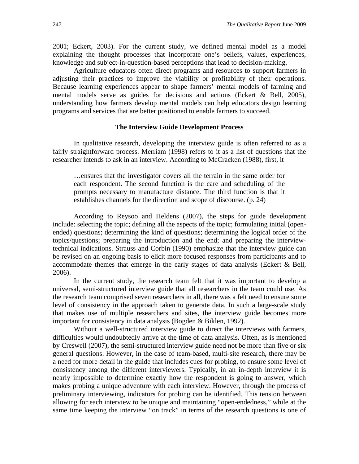2001; Eckert, 2003). For the current study, we defined mental model as a model explaining the thought processes that incorporate one's beliefs, values, experiences, knowledge and subject-in-question-based perceptions that lead to decision-making.

Agriculture educators often direct programs and resources to support farmers in adjusting their practices to improve the viability or profitability of their operations. Because learning experiences appear to shape farmers' mental models of farming and mental models serve as guides for decisions and actions (Eckert & Bell, 2005), understanding how farmers develop mental models can help educators design learning programs and services that are better positioned to enable farmers to succeed.

#### **The Interview Guide Development Process**

In qualitative research, developing the interview guide is often referred to as a fairly straightforward process. Merriam (1998) refers to it as a list of questions that the researcher intends to ask in an interview. According to McCracken (1988), first, it

…ensures that the investigator covers all the terrain in the same order for each respondent. The second function is the care and scheduling of the prompts necessary to manufacture distance. The third function is that it establishes channels for the direction and scope of discourse. (p. 24)

According to Reysoo and Heldens (2007), the steps for guide development include: selecting the topic; defining all the aspects of the topic; formulating initial (openended) questions; determining the kind of questions; determining the logical order of the topics/questions; preparing the introduction and the end; and preparing the interviewtechnical indications. Strauss and Corbin (1990) emphasize that the interview guide can be revised on an ongoing basis to elicit more focused responses from participants and to accommodate themes that emerge in the early stages of data analysis (Eckert & Bell, 2006).

In the current study, the research team felt that it was important to develop a universal, semi-structured interview guide that all researchers in the team could use. As the research team comprised seven researchers in all, there was a felt need to ensure some level of consistency in the approach taken to generate data. In such a large-scale study that makes use of multiple researchers and sites, the interview guide becomes more important for consistency in data analysis (Bogden & Biklen, 1992).

Without a well-structured interview guide to direct the interviews with farmers, difficulties would undoubtedly arrive at the time of data analysis. Often, as is mentioned by Creswell (2007), the semi-structured interview guide need not be more than five or six general questions. However, in the case of team-based, multi-site research, there may be a need for more detail in the guide that includes cues for probing, to ensure some level of consistency among the different interviewers. Typically, in an in-depth interview it is nearly impossible to determine exactly how the respondent is going to answer, which makes probing a unique adventure with each interview. However, through the process of preliminary interviewing, indicators for probing can be identified. This tension between allowing for each interview to be unique and maintaining "open-endedness," while at the same time keeping the interview "on track" in terms of the research questions is one of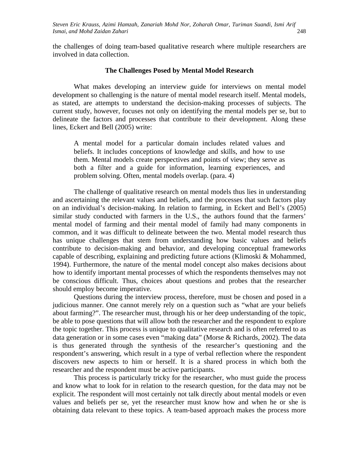the challenges of doing team-based qualitative research where multiple researchers are involved in data collection.

#### **The Challenges Posed by Mental Model Research**

What makes developing an interview guide for interviews on mental model development so challenging is the nature of mental model research itself. Mental models, as stated, are attempts to understand the decision-making processes of subjects. The current study, however, focuses not only on identifying the mental models per se, but to delineate the factors and processes that contribute to their development. Along these lines, Eckert and Bell (2005) write:

A mental model for a particular domain includes related values and beliefs. It includes conceptions of knowledge and skills, and how to use them. Mental models create perspectives and points of view; they serve as both a filter and a guide for information, learning experiences, and problem solving. Often, mental models overlap. (para. 4)

The challenge of qualitative research on mental models thus lies in understanding and ascertaining the relevant values and beliefs, and the processes that such factors play on an individual's decision-making. In relation to farming, in Eckert and Bell's (2005) similar study conducted with farmers in the U.S., the authors found that the farmers' mental model of farming and their mental model of family had many components in common, and it was difficult to delineate between the two. Mental model research thus has unique challenges that stem from understanding how basic values and beliefs contribute to decision-making and behavior, and developing conceptual frameworks capable of describing, explaining and predicting future actions (Klimoski & Mohammed, 1994). Furthermore, the nature of the mental model concept also makes decisions about how to identify important mental processes of which the respondents themselves may not be conscious difficult. Thus, choices about questions and probes that the researcher should employ become imperative.

Questions during the interview process, therefore, must be chosen and posed in a judicious manner. One cannot merely rely on a question such as "what are your beliefs about farming?". The researcher must, through his or her deep understanding of the topic, be able to pose questions that will allow both the researcher and the respondent to explore the topic together. This process is unique to qualitative research and is often referred to as data generation or in some cases even "making data" (Morse & Richards, 2002). The data is thus generated through the synthesis of the researcher's questioning and the respondent's answering, which result in a type of verbal reflection where the respondent discovers new aspects to him or herself. It is a shared process in which both the researcher and the respondent must be active participants.

This process is particularly tricky for the researcher, who must guide the process and know what to look for in relation to the research question, for the data may not be explicit. The respondent will most certainly not talk directly about mental models or even values and beliefs per se, yet the researcher must know how and when he or she is obtaining data relevant to these topics. A team-based approach makes the process more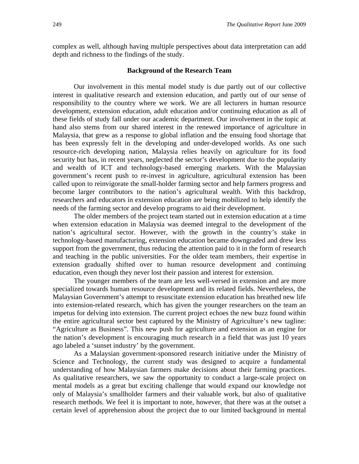complex as well, although having multiple perspectives about data interpretation can add depth and richness to the findings of the study.

#### **Background of the Research Team**

Our involvement in this mental model study is due partly out of our collective interest in qualitative research and extension education, and partly out of our sense of responsibility to the country where we work. We are all lecturers in human resource development, extension education, adult education and/or continuing education as all of these fields of study fall under our academic department. Our involvement in the topic at hand also stems from our shared interest in the renewed importance of agriculture in Malaysia, that grew as a response to global inflation and the ensuing food shortage that has been expressly felt in the developing and under-developed worlds. As one such resource-rich developing nation, Malaysia relies heavily on agriculture for its food security but has, in recent years, neglected the sector's development due to the popularity and wealth of ICT and technology-based emerging markets. With the Malaysian government's recent push to re-invest in agriculture, agricultural extension has been called upon to reinvigorate the small-holder farming sector and help farmers progress and become larger contributors to the nation's agricultural wealth. With this backdrop, researchers and educators in extension education are being mobilized to help identify the needs of the farming sector and develop programs to aid their development.

The older members of the project team started out in extension education at a time when extension education in Malaysia was deemed integral to the development of the nation's agricultural sector. However, with the growth in the country's stake in technology-based manufacturing, extension education became downgraded and drew less support from the government, thus reducing the attention paid to it in the form of research and teaching in the public universities. For the older team members, their expertise in extension gradually shifted over to human resource development and continuing education, even though they never lost their passion and interest for extension.

The younger members of the team are less well-versed in extension and are more specialized towards human resource development and its related fields. Nevertheless, the Malaysian Government's attempt to resuscitate extension education has breathed new life into extension-related research, which has given the younger researchers on the team an impetus for delving into extension. The current project echoes the new buzz found within the entire agricultural sector best captured by the Ministry of Agriculture's new tagline: "Agriculture as Business". This new push for agriculture and extension as an engine for the nation's development is encouraging much research in a field that was just 10 years ago labeled a 'sunset industry' by the government.

As a Malaysian government-sponsored research initiative under the Ministry of Science and Technology, the current study was designed to acquire a fundamental understanding of how Malaysian farmers make decisions about their farming practices. As qualitative researchers, we saw the opportunity to conduct a large-scale project on mental models as a great but exciting challenge that would expand our knowledge not only of Malaysia's smallholder farmers and their valuable work, but also of qualitative research methods. We feel it is important to note, however, that there was at the outset a certain level of apprehension about the project due to our limited background in mental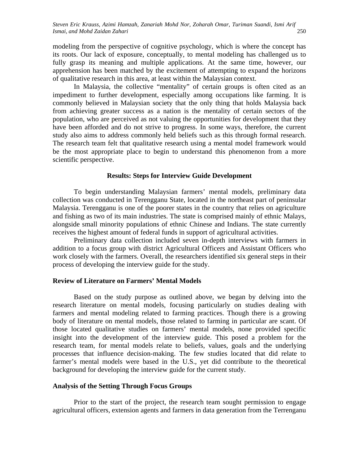modeling from the perspective of cognitive psychology, which is where the concept has its roots. Our lack of exposure, conceptually, to mental modeling has challenged us to fully grasp its meaning and multiple applications. At the same time, however, our apprehension has been matched by the excitement of attempting to expand the horizons of qualitative research in this area, at least within the Malaysian context.

In Malaysia, the collective "mentality" of certain groups is often cited as an impediment to further development, especially among occupations like farming. It is commonly believed in Malaysian society that the only thing that holds Malaysia back from achieving greater success as a nation is the mentality of certain sectors of the population, who are perceived as not valuing the opportunities for development that they have been afforded and do not strive to progress. In some ways, therefore, the current study also aims to address commonly held beliefs such as this through formal research. The research team felt that qualitative research using a mental model framework would be the most appropriate place to begin to understand this phenomenon from a more scientific perspective.

#### **Results: Steps for Interview Guide Development**

To begin understanding Malaysian farmers' mental models, preliminary data collection was conducted in Terengganu State, located in the northeast part of peninsular Malaysia. Terengganu is one of the poorer states in the country that relies on agriculture and fishing as two of its main industries. The state is comprised mainly of ethnic Malays, alongside small minority populations of ethnic Chinese and Indians. The state currently receives the highest amount of federal funds in support of agricultural activities.

Preliminary data collection included seven in-depth interviews with farmers in addition to a focus group with district Agricultural Officers and Assistant Officers who work closely with the farmers. Overall, the researchers identified six general steps in their process of developing the interview guide for the study.

#### **Review of Literature on Farmers' Mental Models**

Based on the study purpose as outlined above, we began by delving into the research literature on mental models, focusing particularly on studies dealing with farmers and mental modeling related to farming practices. Though there is a growing body of literature on mental models, those related to farming in particular are scant. Of those located qualitative studies on farmers' mental models, none provided specific insight into the development of the interview guide. This posed a problem for the research team, for mental models relate to beliefs, values, goals and the underlying processes that influence decision-making. The few studies located that did relate to farmer's mental models were based in the U.S., yet did contribute to the theoretical background for developing the interview guide for the current study.

#### **Analysis of the Setting Through Focus Groups**

Prior to the start of the project, the research team sought permission to engage agricultural officers, extension agents and farmers in data generation from the Terrenganu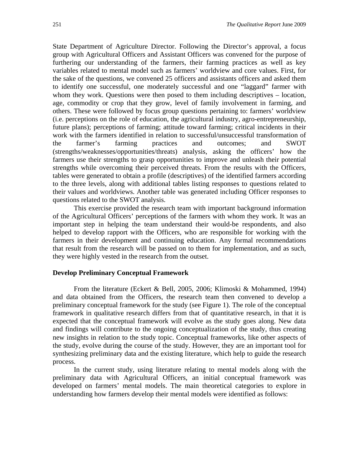State Department of Agriculture Director. Following the Director's approval, a focus group with Agricultural Officers and Assistant Officers was convened for the purpose of furthering our understanding of the farmers, their farming practices as well as key variables related to mental model such as farmers' worldview and core values. First, for the sake of the questions, we convened 25 officers and assistants officers and asked them to identify one successful, one moderately successful and one "laggard" farmer with whom they work. Questions were then posed to them including descriptives – location, age, commodity or crop that they grow, level of family involvement in farming, and others. These were followed by focus group questions pertaining to: farmers' worldview (i.e. perceptions on the role of education, the agricultural industry, agro-entrepreneurship, future plans); perceptions of farming; attitude toward farming; critical incidents in their work with the farmers identified in relation to successful/unsuccessful transformation of the farmer's farming practices and outcomes; and SWOT (strengths/weaknesses/opportunities/threats) analysis, asking the officers' how the farmers use their strengths to grasp opportunities to improve and unleash their potential strengths while overcoming their perceived threats. From the results with the Officers, tables were generated to obtain a profile (descriptives) of the identified farmers according to the three levels, along with additional tables listing responses to questions related to their values and worldviews. Another table was generated including Officer responses to questions related to the SWOT analysis.

This exercise provided the research team with important background information of the Agricultural Officers' perceptions of the farmers with whom they work. It was an important step in helping the team understand their would-be respondents, and also helped to develop rapport with the Officers, who are responsible for working with the farmers in their development and continuing education. Any formal recommendations that result from the research will be passed on to them for implementation, and as such, they were highly vested in the research from the outset.

#### **Develop Preliminary Conceptual Framework**

From the literature (Eckert & Bell, 2005, 2006; Klimoski & Mohammed, 1994) and data obtained from the Officers, the research team then convened to develop a preliminary conceptual framework for the study (see Figure 1). The role of the conceptual framework in qualitative research differs from that of quantitative research, in that it is expected that the conceptual framework will evolve as the study goes along. New data and findings will contribute to the ongoing conceptualization of the study, thus creating new insights in relation to the study topic. Conceptual frameworks, like other aspects of the study, evolve during the course of the study. However, they are an important tool for synthesizing preliminary data and the existing literature, which help to guide the research process.

In the current study, using literature relating to mental models along with the preliminary data with Agricultural Officers, an initial conceptual framework was developed on farmers' mental models. The main theoretical categories to explore in understanding how farmers develop their mental models were identified as follows: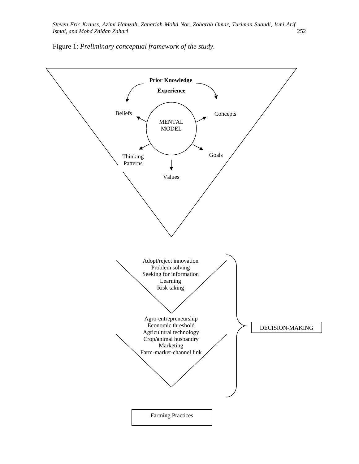Figure 1: *Preliminary conceptual framework of the study.* 

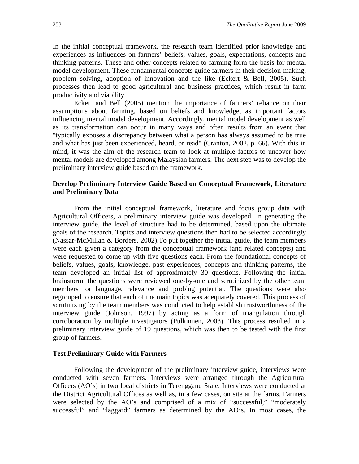In the initial conceptual framework, the research team identified prior knowledge and experiences as influences on farmers' beliefs, values, goals, expectations, concepts and thinking patterns. These and other concepts related to farming form the basis for mental model development. These fundamental concepts guide farmers in their decision-making, problem solving, adoption of innovation and the like (Eckert  $\&$  Bell, 2005). Such processes then lead to good agricultural and business practices, which result in farm productivity and viability.

Eckert and Bell (2005) mention the importance of farmers' reliance on their assumptions about farming, based on beliefs and knowledge, as important factors influencing mental model development. Accordingly, mental model development as well as its transformation can occur in many ways and often results from an event that "typically exposes a discrepancy between what a person has always assumed to be true and what has just been experienced, heard, or read" (Cranton, 2002, p. 66). With this in mind, it was the aim of the research team to look at multiple factors to uncover how mental models are developed among Malaysian farmers. The next step was to develop the preliminary interview guide based on the framework.

#### **Develop Preliminary Interview Guide Based on Conceptual Framework, Literature and Preliminary Data**

From the initial conceptual framework, literature and focus group data with Agricultural Officers, a preliminary interview guide was developed. In generating the interview guide, the level of structure had to be determined, based upon the ultimate goals of the research. Topics and interview questions then had to be selected accordingly (Nassar-McMillan & Borders, 2002).To put together the initial guide, the team members were each given a category from the conceptual framework (and related concepts) and were requested to come up with five questions each. From the foundational concepts of beliefs, values, goals, knowledge, past experiences, concepts and thinking patterns, the team developed an initial list of approximately 30 questions. Following the initial brainstorm, the questions were reviewed one-by-one and scrutinized by the other team members for language, relevance and probing potential. The questions were also regrouped to ensure that each of the main topics was adequately covered. This process of scrutinizing by the team members was conducted to help establish trustworthiness of the interview guide (Johnson, 1997) by acting as a form of triangulation through corroboration by multiple investigators (Pulkinnen, 2003). This process resulted in a preliminary interview guide of 19 questions, which was then to be tested with the first group of farmers.

#### **Test Preliminary Guide with Farmers**

Following the development of the preliminary interview guide, interviews were conducted with seven farmers. Interviews were arranged through the Agricultural Officers (AO's) in two local districts in Terengganu State. Interviews were conducted at the District Agricultural Offices as well as, in a few cases, on site at the farms. Farmers were selected by the AO's and comprised of a mix of "successful," "moderately successful" and "laggard" farmers as determined by the AO's. In most cases, the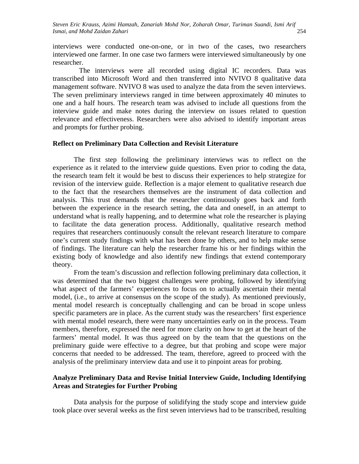interviews were conducted one-on-one, or in two of the cases, two researchers interviewed one farmer. In one case two farmers were interviewed simultaneously by one researcher.

 The interviews were all recorded using digital IC recorders. Data was transcribed into Microsoft Word and then transferred into NVIVO 8 qualitative data management software. NVIVO 8 was used to analyze the data from the seven interviews. The seven preliminary interviews ranged in time between approximately 40 minutes to one and a half hours. The research team was advised to include all questions from the interview guide and make notes during the interview on issues related to question relevance and effectiveness. Researchers were also advised to identify important areas and prompts for further probing.

#### **Reflect on Preliminary Data Collection and Revisit Literature**

The first step following the preliminary interviews was to reflect on the experience as it related to the interview guide questions. Even prior to coding the data, the research team felt it would be best to discuss their experiences to help strategize for revision of the interview guide. Reflection is a major element to qualitative research due to the fact that the researchers themselves are the instrument of data collection and analysis. This trust demands that the researcher continuously goes back and forth between the experience in the research setting, the data and oneself, in an attempt to understand what is really happening, and to determine what role the researcher is playing to facilitate the data generation process. Additionally, qualitative research method requires that researchers continuously consult the relevant research literature to compare one's current study findings with what has been done by others, and to help make sense of findings. The literature can help the researcher frame his or her findings within the existing body of knowledge and also identify new findings that extend contemporary theory.

From the team's discussion and reflection following preliminary data collection, it was determined that the two biggest challenges were probing, followed by identifying what aspect of the farmers' experiences to focus on to actually ascertain their mental model, (i.e., to arrive at consensus on the scope of the study). As mentioned previously, mental model research is conceptually challenging and can be broad in scope unless specific parameters are in place. As the current study was the researchers' first experience with mental model research, there were many uncertainties early on in the process. Team members, therefore, expressed the need for more clarity on how to get at the heart of the farmers' mental model. It was thus agreed on by the team that the questions on the preliminary guide were effective to a degree, but that probing and scope were major concerns that needed to be addressed. The team, therefore, agreed to proceed with the analysis of the preliminary interview data and use it to pinpoint areas for probing.

#### **Analyze Preliminary Data and Revise Initial Interview Guide, Including Identifying Areas and Strategies for Further Probing**

Data analysis for the purpose of solidifying the study scope and interview guide took place over several weeks as the first seven interviews had to be transcribed, resulting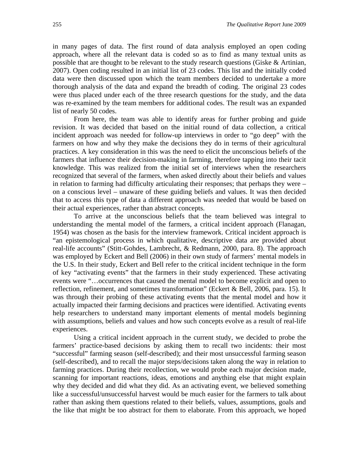in many pages of data. The first round of data analysis employed an open coding approach, where all the relevant data is coded so as to find as many textual units as possible that are thought to be relevant to the study research questions (Giske & Artinian, 2007). Open coding resulted in an initial list of 23 codes. This list and the initially coded data were then discussed upon which the team members decided to undertake a more thorough analysis of the data and expand the breadth of coding. The original 23 codes were thus placed under each of the three research questions for the study, and the data was re-examined by the team members for additional codes. The result was an expanded list of nearly 50 codes.

From here, the team was able to identify areas for further probing and guide revision. It was decided that based on the initial round of data collection, a critical incident approach was needed for follow-up interviews in order to "go deep" with the farmers on how and why they make the decisions they do in terms of their agricultural practices. A key consideration in this was the need to elicit the unconscious beliefs of the farmers that influence their decision-making in farming, therefore tapping into their tacit knowledge. This was realized from the initial set of interviews when the researchers recognized that several of the farmers, when asked directly about their beliefs and values in relation to farming had difficulty articulating their responses; that perhaps they were – on a conscious level – unaware of these guiding beliefs and values. It was then decided that to access this type of data a different approach was needed that would be based on their actual experiences, rather than abstract concepts.

To arrive at the unconscious beliefs that the team believed was integral to understanding the mental model of the farmers, a critical incident approach (Flanagan, 1954) was chosen as the basis for the interview framework. Critical incident approach is "an epistemological process in which qualitative, descriptive data are provided about real-life accounts" (Stitt-Gohdes, Lambrecht, & Redmann, 2000, para. 8). The approach was employed by Eckert and Bell (2006) in their own study of farmers' mental models in the U.S. In their study, Eckert and Bell refer to the critical incident technique in the form of key "activating events" that the farmers in their study experienced. These activating events were "…occurrences that caused the mental model to become explicit and open to reflection, refinement, and sometimes transformation" (Eckert & Bell, 2006, para. 15). It was through their probing of these activating events that the mental model and how it actually impacted their farming decisions and practices were identified. Activating events help researchers to understand many important elements of mental models beginning with assumptions, beliefs and values and how such concepts evolve as a result of real-life experiences.

Using a critical incident approach in the current study, we decided to probe the farmers' practice-based decisions by asking them to recall two incidents: their most "successful" farming season (self-described); and their most unsuccessful farming season (self-described), and to recall the major steps/decisions taken along the way in relation to farming practices. During their recollection, we would probe each major decision made, scanning for important reactions, ideas, emotions and anything else that might explain why they decided and did what they did. As an activating event, we believed something like a successful/unsuccessful harvest would be much easier for the farmers to talk about rather than asking them questions related to their beliefs, values, assumptions, goals and the like that might be too abstract for them to elaborate. From this approach, we hoped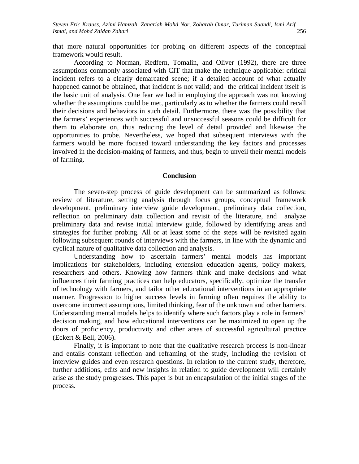that more natural opportunities for probing on different aspects of the conceptual framework would result.

According to Norman, Redfern, Tomalin, and Oliver (1992), there are three assumptions commonly associated with CIT that make the technique applicable: critical incident refers to a clearly demarcated scene; if a detailed account of what actually happened cannot be obtained, that incident is not valid; and the critical incident itself is the basic unit of analysis. One fear we had in employing the approach was not knowing whether the assumptions could be met, particularly as to whether the farmers could recall their decisions and behaviors in such detail. Furthermore, there was the possibility that the farmers' experiences with successful and unsuccessful seasons could be difficult for them to elaborate on, thus reducing the level of detail provided and likewise the opportunities to probe. Nevertheless, we hoped that subsequent interviews with the farmers would be more focused toward understanding the key factors and processes involved in the decision-making of farmers, and thus, begin to unveil their mental models of farming.

#### **Conclusion**

The seven-step process of guide development can be summarized as follows: review of literature, setting analysis through focus groups, conceptual framework development, preliminary interview guide development, preliminary data collection, reflection on preliminary data collection and revisit of the literature, and analyze preliminary data and revise initial interview guide, followed by identifying areas and strategies for further probing. All or at least some of the steps will be revisited again following subsequent rounds of interviews with the farmers, in line with the dynamic and cyclical nature of qualitative data collection and analysis.

Understanding how to ascertain farmers' mental models has important implications for stakeholders, including extension education agents, policy makers, researchers and others. Knowing how farmers think and make decisions and what influences their farming practices can help educators, specifically, optimize the transfer of technology with farmers, and tailor other educational interventions in an appropriate manner. Progression to higher success levels in farming often requires the ability to overcome incorrect assumptions, limited thinking, fear of the unknown and other barriers. Understanding mental models helps to identify where such factors play a role in farmers' decision making, and how educational interventions can be maximized to open up the doors of proficiency, productivity and other areas of successful agricultural practice (Eckert & Bell, 2006).

Finally, it is important to note that the qualitative research process is non-linear and entails constant reflection and reframing of the study, including the revision of interview guides and even research questions. In relation to the current study, therefore, further additions, edits and new insights in relation to guide development will certainly arise as the study progresses. This paper is but an encapsulation of the initial stages of the process.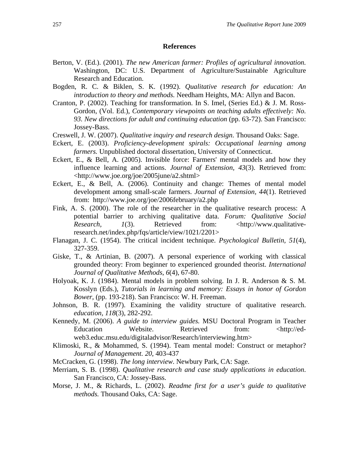#### **References**

- Berton, V. (Ed.). (2001). *The new American farmer: Profiles of agricultural innovation.*  Washington, DC: U.S. Department of Agriculture/Sustainable Agriculture Research and Education.
- Bogden, R. C. & Biklen, S. K. (1992). *Qualitative research for education: An introduction to theory and methods.* Needham Heights, MA: Allyn and Bacon.
- Cranton, P. (2002). Teaching for transformation. In S. Imel, (Series Ed.) & J. M. Ross-Gordon, (Vol. Ed.), *Contemporary viewpoints on teaching adults effectively: No. 93. New directions for adult and continuing education* (pp. 63-72). San Francisco: Jossey-Bass.
- Creswell, J. W. (2007). *Qualitative inquiry and research design*. Thousand Oaks: Sage.
- Eckert, E. (2003). *Proficiency-development spirals: Occupational learning among farmers.* Unpublished doctoral dissertation, University of Connecticut.
- Eckert, E., & Bell, A. (2005). Invisible force: Farmers' mental models and how they influence learning and actions. *Journal of Extension, 43*(3). Retrieved from: <http://www.joe.org/joe/2005june/a2.shtml>
- Eckert, E., & Bell, A. (2006). Continuity and change: Themes of mental model development among small-scale farmers. *Journal of Extension, 44*(1). Retrieved from: http://www.joe.org/joe/2006february/a2.php
- Fink, A. S. (2000). The role of the researcher in the qualitative research process: A potential barrier to archiving qualitative data. *Forum: Qualitative Social Research,* 1(3). Retrieved from: <http://www.qualitativeresearch.net/index.php/fqs/article/view/1021/2201>
- Flanagan, J. C. (1954). The critical incident technique. *Psychological Bulletin, 51*(4), 327-359.
- Giske, T., & Artinian, B. (2007). A personal experience of working with classical grounded theory: From beginner to experienced grounded theorist. *International Journal of Qualitative Methods*, *6*(4), 67-80.
- Holyoak, K. J. (1984). Mental models in problem solving. In J. R. Anderson & S. M. Kosslyn (Eds.), *Tutorials in learning and memory: Essays in honor of Gordon Bower,* (pp. 193-218). San Francisco: W. H. Freeman.
- Johnson, B. R. (1997). Examining the validity structure of qualitative research. *education, 118*(3), 282-292.
- Kennedy, M. (2006). *A guide to interview guides.* MSU Doctoral Program in Teacher Education Website. Retrieved from: <http://edweb3.educ.msu.edu/digitaladvisor/Research/interviewing.htm>
- Klimoski, R., & Mohammed, S. (1994). Team mental model: Construct or metaphor? *Journal of Management. 20*, 403-437
- McCracken, G. (1998). *The long interview*. Newbury Park, CA: Sage.
- Merriam, S. B. (1998). *Qualitative research and case study applications in education*. San Francisco, CA: Jossey-Bass.
- Morse, J. M., & Richards, L. (2002). *Readme first for a user's guide to qualitative methods.* Thousand Oaks, CA: Sage.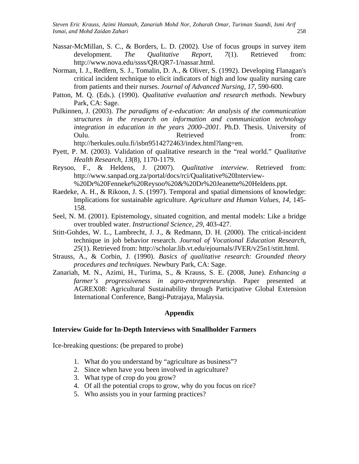- Nassar-McMillan, S. C., & Borders, L. D. (2002). Use of focus groups in survey item development. *The Qualitative Report*, *7*(1). Retrieved from: http://www.nova.edu/ssss/QR/QR7-1/nassar.html.
- Norman, I. J., Redfern, S. J., Tomalin, D. A., & Oliver, S. (1992). Developing Flanagan's critical incident technique to elicit indicators of high and low quality nursing care from patients and their nurses. *Journal of Advanced Nursing, 17*, 590-600.
- Patton, M. Q. (Eds.). (1990). *Qualitative evaluation and research methods*. Newbury Park, CA: Sage.
- Pulkinnen, J. (2003). *The paradigms of e-education: An analysis of the communication structures in the research on information and communication technology integration in education in the years 2000–2001*. Ph.D. Thesis. University of Oulu. Retrieved from:

http://herkules.oulu.fi/isbn9514272463/index.html?lang=en.

- Pyett, P. M. (2003). Validation of qualitative research in the "real world." *Qualitative Health Research*, *13*(8), 1170-1179.
- Reysoo, F., & Heldens, J. (2007). *Qualitative interview*. Retrieved from: http://www.sanpad.org.za/portal/docs/rci/Qualitative%20Interview- %20Dr%20Fenneke%20Reysoo%20&%20Dr%20Jeanette%20Heldens.ppt.
- Raedeke, A. H., & Rikoon, J. S. (1997). Temporal and spatial dimensions of knowledge: Implications for sustainable agriculture. *Agriculture and Human Values, 14*, 145- 158.
- Seel, N. M. (2001). Epistemology, situated cognition, and mental models: Like a bridge over troubled water. *Instructional Science, 29*, 403-427.
- Stitt-Gohdes, W. L., Lambrecht, J. J., & Redmann, D. H. (2000). The critical-incident technique in job behavior research. *Journal of Vocational Education Research, 25*(1). Retrieved from: http://scholar.lib.vt.edu/ejournals/JVER/v25n1/stitt.html.
- Strauss, A., & Corbin, J. (1990). *Basics of qualitative research: Grounded theory procedures and techniques*. Newbury Park, CA: Sage.
- Zanariah, M. N., Azimi, H., Turima, S., & Krauss, S. E. (2008, June). *Enhancing a farmer's progressiveness in agro-entrepreneurship.* Paper presented at AGREX08: Agricultural Sustainability through Participative Global Extension International Conference, Bangi-Putrajaya, Malaysia.

#### **Appendix**

#### **Interview Guide for In-Depth Interviews with Smallholder Farmers**

Ice-breaking questions: (be prepared to probe)

- 1. What do you understand by "agriculture as business"?
- 2. Since when have you been involved in agriculture?
- 3. What type of crop do you grow?
- 4. Of all the potential crops to grow, why do you focus on rice?
- 5. Who assists you in your farming practices?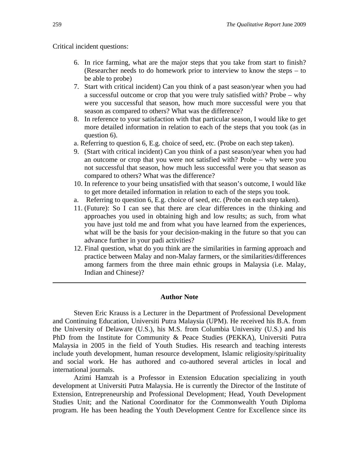Critical incident questions:

- 6. In rice farming, what are the major steps that you take from start to finish? (Researcher needs to do homework prior to interview to know the steps – to be able to probe)
- 7. Start with critical incident) Can you think of a past season/year when you had a successful outcome or crop that you were truly satisfied with? Probe – why were you successful that season, how much more successful were you that season as compared to others? What was the difference?
- 8. In reference to your satisfaction with that particular season, I would like to get more detailed information in relation to each of the steps that you took (as in question 6).
- a. Referring to question 6, E.g. choice of seed, etc. (Probe on each step taken).
- 9. (Start with critical incident) Can you think of a past season/year when you had an outcome or crop that you were not satisfied with? Probe – why were you not successful that season, how much less successful were you that season as compared to others? What was the difference?
- 10. In reference to your being unsatisfied with that season's outcome, I would like to get more detailed information in relation to each of the steps you took.
- a. Referring to question 6, E.g. choice of seed, etc. (Probe on each step taken).
- 11. (Future): So I can see that there are clear differences in the thinking and approaches you used in obtaining high and low results; as such, from what you have just told me and from what you have learned from the experiences, what will be the basis for your decision-making in the future so that you can advance further in your padi activities?
- 12. Final question, what do you think are the similarities in farming approach and practice between Malay and non-Malay farmers, or the similarities/differences among farmers from the three main ethnic groups in Malaysia (i.e. Malay, Indian and Chinese)?

#### **Author Note**

Steven Eric Krauss is a Lecturer in the Department of Professional Development and Continuing Education, Universiti Putra Malaysia (UPM). He received his B.A. from the University of Delaware (U.S.), his M.S. from Columbia University (U.S.) and his PhD from the Institute for Community & Peace Studies (PEKKA), Universiti Putra Malaysia in 2005 in the field of Youth Studies. His research and teaching interests include youth development, human resource development, Islamic religiosity/spirituality and social work. He has authored and co-authored several articles in local and international journals.

Azimi Hamzah is a Professor in Extension Education specializing in youth development at Universiti Putra Malaysia. He is currently the Director of the Institute of Extension, Entrepreneurship and Professional Development; Head, Youth Development Studies Unit; and the National Coordinator for the Commonwealth Youth Diploma program. He has been heading the Youth Development Centre for Excellence since its